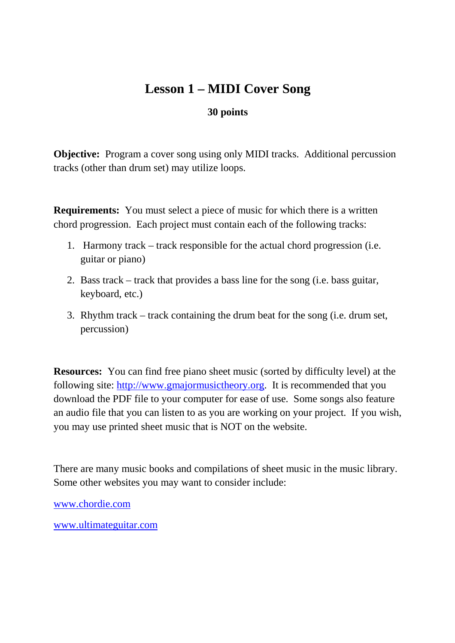## **Lesson 1 – MIDI Cover Song**

## **30 points**

**Objective:** Program a cover song using only MIDI tracks. Additional percussion tracks (other than drum set) may utilize loops.

**Requirements:** You must select a piece of music for which there is a written chord progression. Each project must contain each of the following tracks:

- 1. Harmony track track responsible for the actual chord progression (i.e. guitar or piano)
- 2. Bass track track that provides a bass line for the song (i.e. bass guitar, keyboard, etc.)
- 3. Rhythm track track containing the drum beat for the song (i.e. drum set, percussion)

**Resources:** You can find free piano sheet music (sorted by difficulty level) at the following site: http://www.gmajormusictheory.org. It is recommended that you download the PDF file to your computer for ease of use. Some songs also feature an audio file that you can listen to as you are working on your project. If you wish, you may use printed sheet music that is NOT on the website.

There are many music books and compilations of sheet music in the music library. Some other websites you may want to consider include:

www.chordie.com

www.ultimateguitar.com